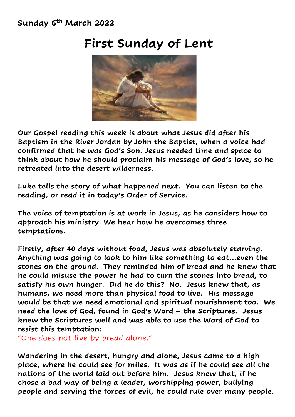## **Sunday 6 th March 2022**

## **First Sunday of Lent**



**Our Gospel reading this week is about what Jesus did after his Baptism in the River Jordan by John the Baptist, when a voice had confirmed that he was God's Son. Jesus needed time and space to think about how he should proclaim his message of God's love, so he retreated into the desert wilderness.** 

**Luke tells the story of what happened next. You can listen to the reading, or read it in today's Order of Service.**

**The voice of temptation is at work in Jesus, as he considers how to approach his ministry. We hear how he overcomes three temptations.**

**Firstly, after 40 days without food, Jesus was absolutely starving. Anything was going to look to him like something to eat…even the stones on the ground. They reminded him of bread and he knew that he could misuse the power he had to turn the stones into bread, to satisfy his own hunger. Did he do this? No. Jesus knew that, as humans, we need more than physical food to live. His message would be that we need emotional and spiritual nourishment too. We need the love of God, found in God's Word – the Scriptures. Jesus knew the Scriptures well and was able to use the Word of God to resist this temptation:** 

"One does not live by bread alone."

**Wandering in the desert, hungry and alone, Jesus came to a high place, where he could see for miles. It was as if he could see all the nations of the world laid out before him. Jesus knew that, if he chose a bad way of being a leader, worshipping power, bullying people and serving the forces of evil, he could rule over many people.**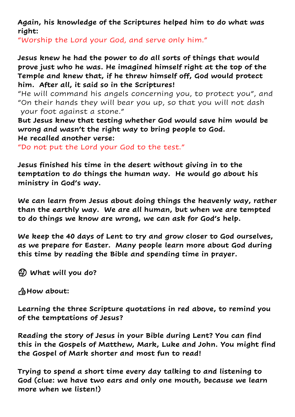**Again, his knowledge of the Scriptures helped him to do what was right:**

"Worship the Lord your God, and serve only him."

**Jesus knew he had the power to do all sorts of things that would prove just who he was. He imagined himself right at the top of the Temple and knew that, if he threw himself off, God would protect him. After all, it said so in the Scriptures!**

"He will command his angels concerning you, to protect you", and "On their hands they will bear you up, so that you will not dash your foot against a stone."

**But Jesus knew that testing whether God would save him would be wrong and wasn't the right way to bring people to God. He recalled another verse:**

"Do not put the Lord your God to the test."

**Jesus finished his time in the desert without giving in to the temptation to do things the human way. He would go about his ministry in God's way.**

**We can learn from Jesus about doing things the heavenly way, rather than the earthly way. We are all human, but when we are tempted to do things we know are wrong, we can ask for God's help.** 

**We keep the 40 days of Lent to try and grow closer to God ourselves, as we prepare for Easter. Many people learn more about God during this time by reading the Bible and spending time in prayer.**

**What will you do?**

**How about:**

**Learning the three Scripture quotations in red above, to remind you of the temptations of Jesus?**

**Reading the story of Jesus in your Bible during Lent? You can find this in the Gospels of Matthew, Mark, Luke and John. You might find the Gospel of Mark shorter and most fun to read!**

**Trying to spend a short time every day talking to and listening to God (clue: we have two ears and only one mouth, because we learn more when we listen!)**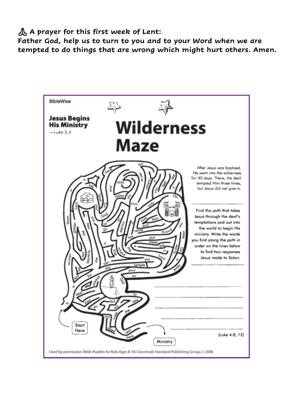**A prayer for this first week of Lent:**

**Father God, help us to turn to you and to your Word when we are tempted to do things that are wrong which might hurt others. Amen.**